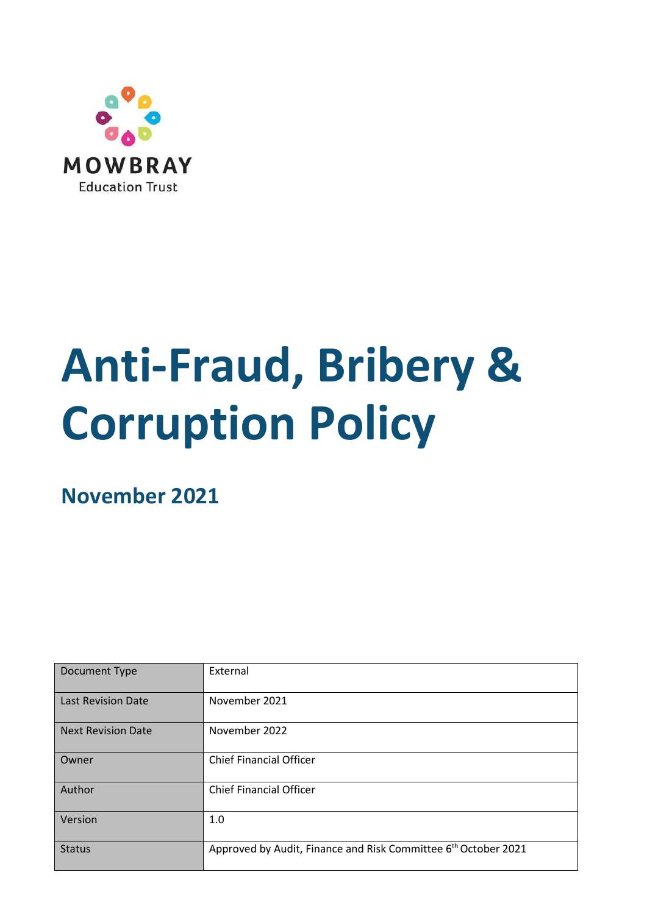

# **Anti-Fraud, Bribery & Corruption Policy**

**November 2021**

| Document Type             | External                                                                   |  |
|---------------------------|----------------------------------------------------------------------------|--|
| <b>Last Revision Date</b> | November 2021                                                              |  |
| <b>Next Revision Date</b> | November 2022                                                              |  |
| Owner                     | <b>Chief Financial Officer</b>                                             |  |
| Author                    | <b>Chief Financial Officer</b>                                             |  |
| Version                   | 1.0                                                                        |  |
| <b>Status</b>             | Approved by Audit, Finance and Risk Committee 6 <sup>th</sup> October 2021 |  |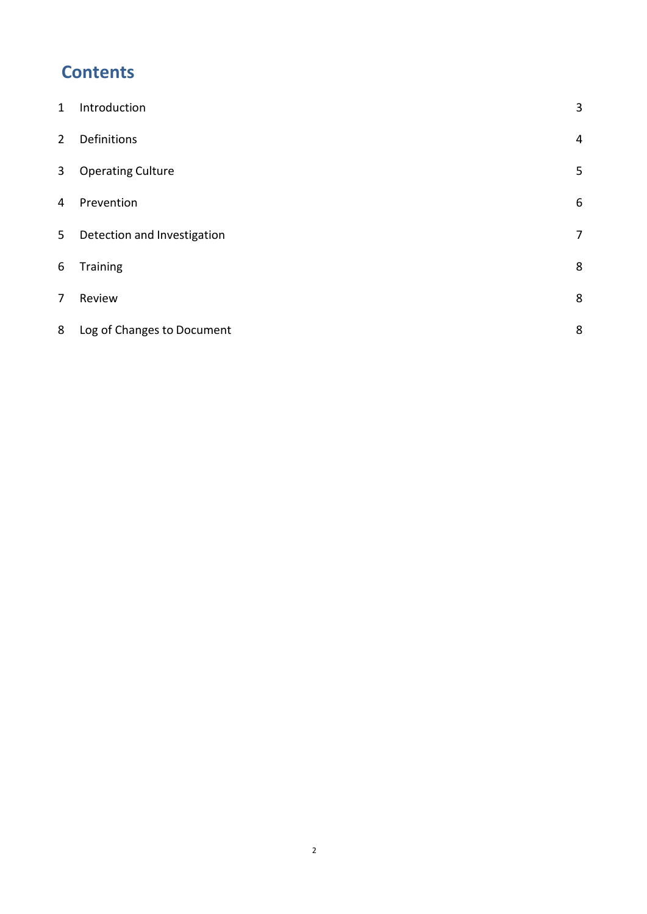# **Contents**

| $\mathbf{1}$   | Introduction                | 3                |
|----------------|-----------------------------|------------------|
| $\overline{2}$ | Definitions                 | 4                |
| $\mathbf{3}$   | <b>Operating Culture</b>    | 5                |
| 4              | Prevention                  | $\boldsymbol{6}$ |
| 5              | Detection and Investigation | $\overline{7}$   |
| 6              | Training                    | 8                |
| $\overline{7}$ | Review                      | 8                |
| 8              | Log of Changes to Document  | 8                |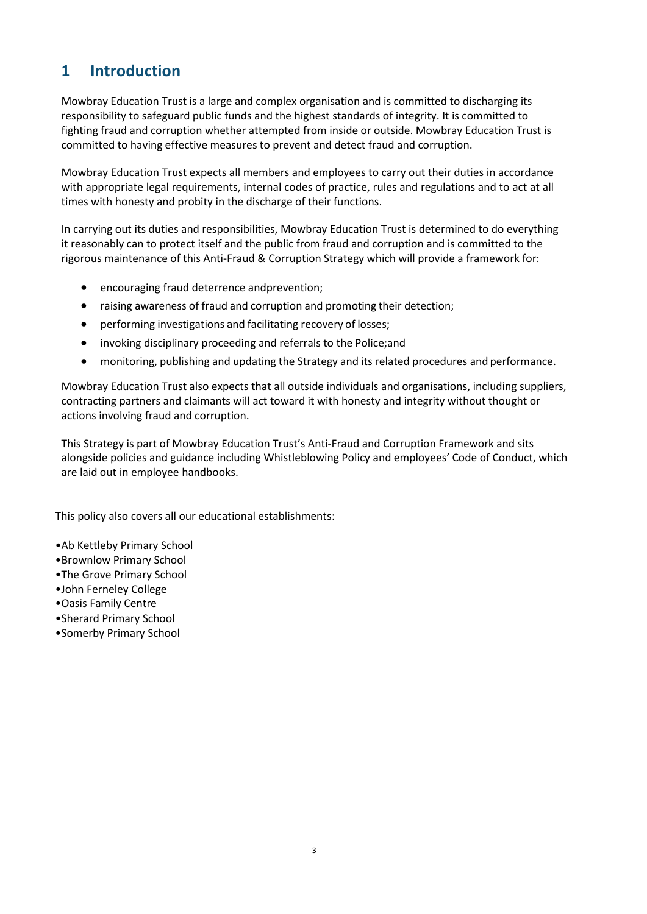## <span id="page-2-0"></span>**1 Introduction**

Mowbray Education Trust is a large and complex organisation and is committed to discharging its responsibility to safeguard public funds and the highest standards of integrity. It is committed to fighting fraud and corruption whether attempted from inside or outside. Mowbray Education Trust is committed to having effective measures to prevent and detect fraud and corruption.

Mowbray Education Trust expects all members and employees to carry out their duties in accordance with appropriate legal requirements, internal codes of practice, rules and regulations and to act at all times with honesty and probity in the discharge of their functions.

In carrying out its duties and responsibilities, Mowbray Education Trust is determined to do everything it reasonably can to protect itself and the public from fraud and corruption and is committed to the rigorous maintenance of this Anti-Fraud & Corruption Strategy which will provide a framework for:

- encouraging fraud deterrence andprevention;
- raising awareness of fraud and corruption and promoting their detection;
- performing investigations and facilitating recovery of losses;
- invoking disciplinary proceeding and referrals to the Police;and
- monitoring, publishing and updating the Strategy and its related procedures and performance.

Mowbray Education Trust also expects that all outside individuals and organisations, including suppliers, contracting partners and claimants will act toward it with honesty and integrity without thought or actions involving fraud and corruption.

This Strategy is part of Mowbray Education Trust's Anti-Fraud and Corruption Framework and sits alongside policies and guidance including Whistleblowing Policy and employees' Code of Conduct, which are laid out in employee handbooks.

This policy also covers all our educational establishments:

- •Ab Kettleby Primary School
- •Brownlow Primary School
- •The Grove Primary School
- •John Ferneley College
- •Oasis Family Centre
- •Sherard Primary School
- •Somerby Primary School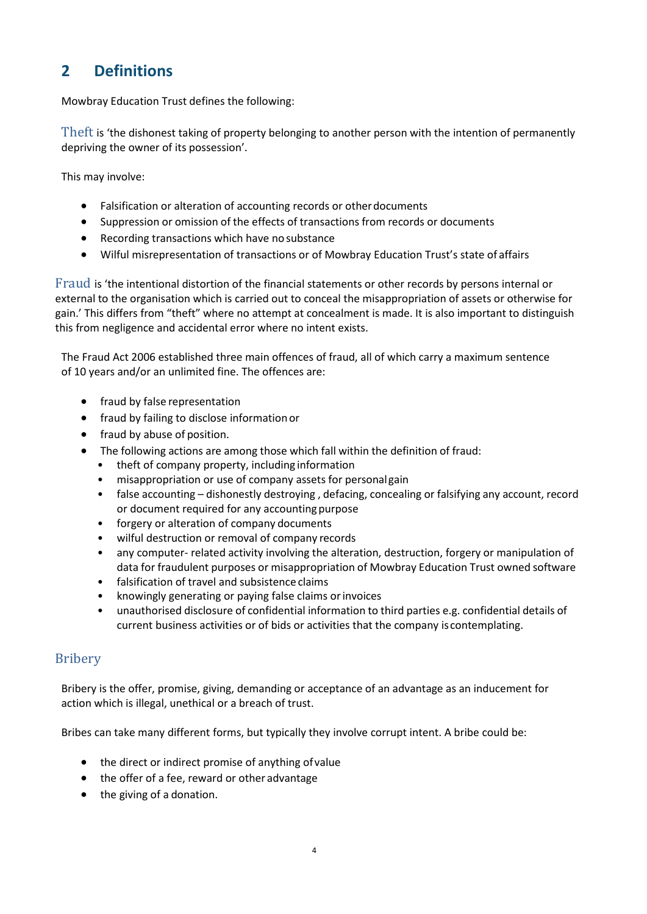# <span id="page-3-0"></span>**2 Definitions**

Mowbray Education Trust defines the following:

Theft is 'the dishonest taking of property belonging to another person with the intention of permanently depriving the owner of its possession'.

This may involve:

- Falsification or alteration of accounting records or otherdocuments
- Suppression or omission of the effects of transactions from records or documents
- Recording transactions which have no substance
- Wilful misrepresentation of transactions or of Mowbray Education Trust's state of affairs

Fraud is 'the intentional distortion of the financial statements or other records by persons internal or external to the organisation which is carried out to conceal the misappropriation of assets or otherwise for gain.' This differs from "theft" where no attempt at concealment is made. It is also important to distinguish this from negligence and accidental error where no intent exists.

The Fraud Act 2006 established three main offences of fraud, all of which carry a maximum sentence of 10 years and/or an unlimited fine. The offences are:

- fraud by false representation
- fraud by failing to disclose informationor
- fraud by abuse of position.
- The following actions are among those which fall within the definition of fraud:
	- theft of company property, including information
	- misappropriation or use of company assets for personalgain
	- false accounting dishonestly destroying, defacing, concealing or falsifying any account, record or document required for any accountingpurpose
	- forgery or alteration of company documents
	- wilful destruction or removal of company records
	- any computer- related activity involving the alteration, destruction, forgery or manipulation of data for fraudulent purposes or misappropriation of Mowbray Education Trust owned software
	- falsification of travel and subsistence claims
	- knowingly generating or paying false claims orinvoices
	- unauthorised disclosure of confidential information to third parties e.g. confidential details of current business activities or of bids or activities that the company is contemplating.

#### Bribery

Bribery is the offer, promise, giving, demanding or acceptance of an advantage as an inducement for action which is illegal, unethical or a breach of trust.

Bribes can take many different forms, but typically they involve corrupt intent. A bribe could be:

- the direct or indirect promise of anything ofvalue
- the offer of a fee, reward or other advantage
- the giving of a donation.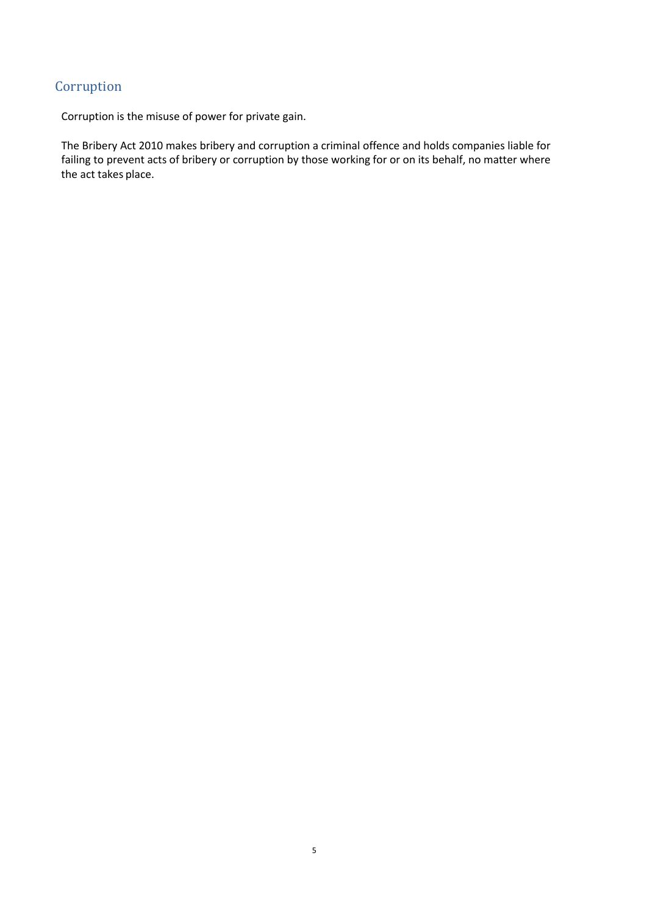#### Corruption

Corruption is the misuse of power for private gain.

The Bribery Act 2010 makes bribery and corruption a criminal offence and holds companies liable for failing to prevent acts of bribery or corruption by those working for or on its behalf, no matter where the act takes place.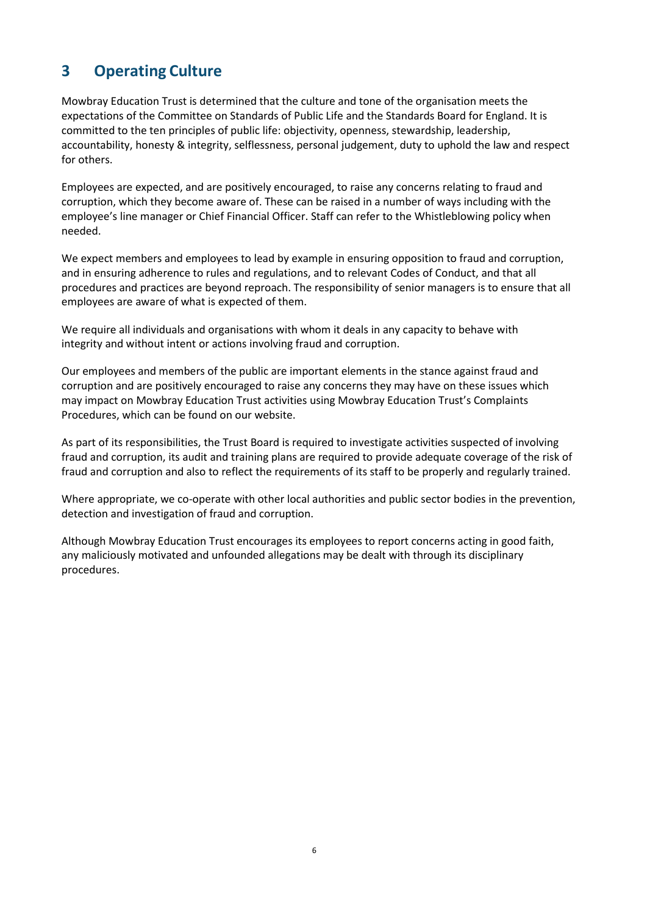# <span id="page-5-0"></span>**3 Operating Culture**

Mowbray Education Trust is determined that the culture and tone of the organisation meets the expectations of the Committee on Standards of Public Life and the Standards Board for England. It is committed to the ten principles of public life: objectivity, openness, stewardship, leadership, accountability, honesty & integrity, selflessness, personal judgement, duty to uphold the law and respect for others.

Employees are expected, and are positively encouraged, to raise any concerns relating to fraud and corruption, which they become aware of. These can be raised in a number of ways including with the employee's line manager or Chief Financial Officer. Staff can refer to the Whistleblowing policy when needed.

We expect members and employees to lead by example in ensuring opposition to fraud and corruption, and in ensuring adherence to rules and regulations, and to relevant Codes of Conduct, and that all procedures and practices are beyond reproach. The responsibility of senior managers is to ensure that all employees are aware of what is expected of them.

We require all individuals and organisations with whom it deals in any capacity to behave with integrity and without intent or actions involving fraud and corruption.

Our employees and members of the public are important elements in the stance against fraud and corruption and are positively encouraged to raise any concerns they may have on these issues which may impact on Mowbray Education Trust activities using Mowbray Education Trust's Complaints Procedures, which can be found on our website.

As part of its responsibilities, the Trust Board is required to investigate activities suspected of involving fraud and corruption, its audit and training plans are required to provide adequate coverage of the risk of fraud and corruption and also to reflect the requirements of its staff to be properly and regularly trained.

Where appropriate, we co-operate with other local authorities and public sector bodies in the prevention, detection and investigation of fraud and corruption.

Although Mowbray Education Trust encourages its employees to report concerns acting in good faith, any maliciously motivated and unfounded allegations may be dealt with through its disciplinary procedures.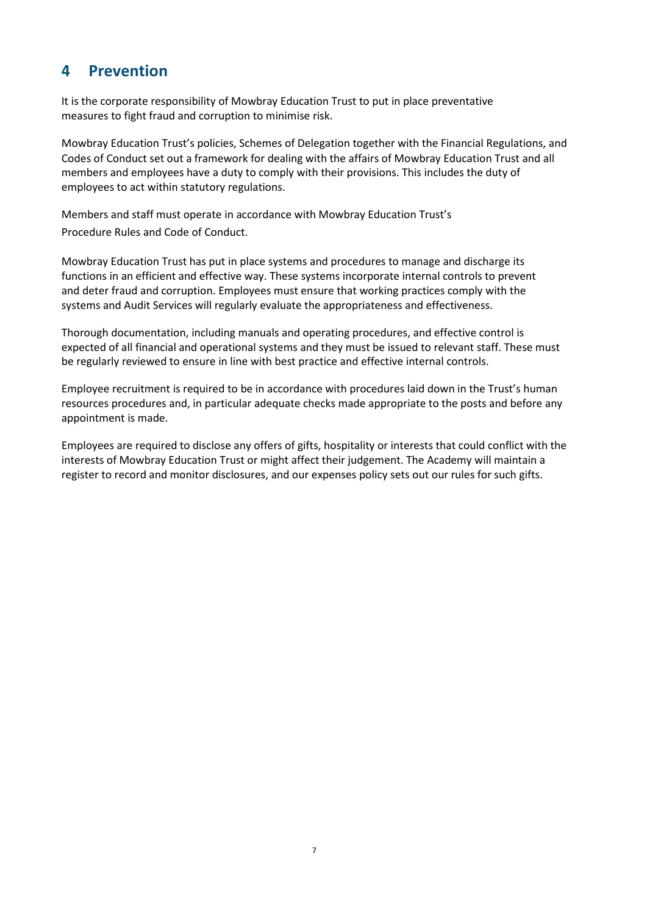#### <span id="page-6-0"></span>**4 Prevention**

It is the corporate responsibility of Mowbray Education Trust to put in place preventative measures to fight fraud and corruption to minimise risk.

Mowbray Education Trust's policies, Schemes of Delegation together with the Financial Regulations, and Codes of Conduct set out a framework for dealing with the affairs of Mowbray Education Trust and all members and employees have a duty to comply with their provisions. This includes the duty of employees to act within statutory regulations.

Members and staff must operate in accordance with Mowbray Education Trust's Procedure Rules and Code of Conduct.

Mowbray Education Trust has put in place systems and procedures to manage and discharge its functions in an efficient and effective way. These systems incorporate internal controls to prevent and deter fraud and corruption. Employees must ensure that working practices comply with the systems and Audit Services will regularly evaluate the appropriateness and effectiveness.

Thorough documentation, including manuals and operating procedures, and effective control is expected of all financial and operational systems and they must be issued to relevant staff. These must be regularly reviewed to ensure in line with best practice and effective internal controls.

Employee recruitment is required to be in accordance with procedures laid down in the Trust's human resources procedures and, in particular adequate checks made appropriate to the posts and before any appointment is made.

Employees are required to disclose any offers of gifts, hospitality or interests that could conflict with the interests of Mowbray Education Trust or might affect their judgement. The Academy will maintain a register to record and monitor disclosures, and our expenses policy sets out our rules for such gifts.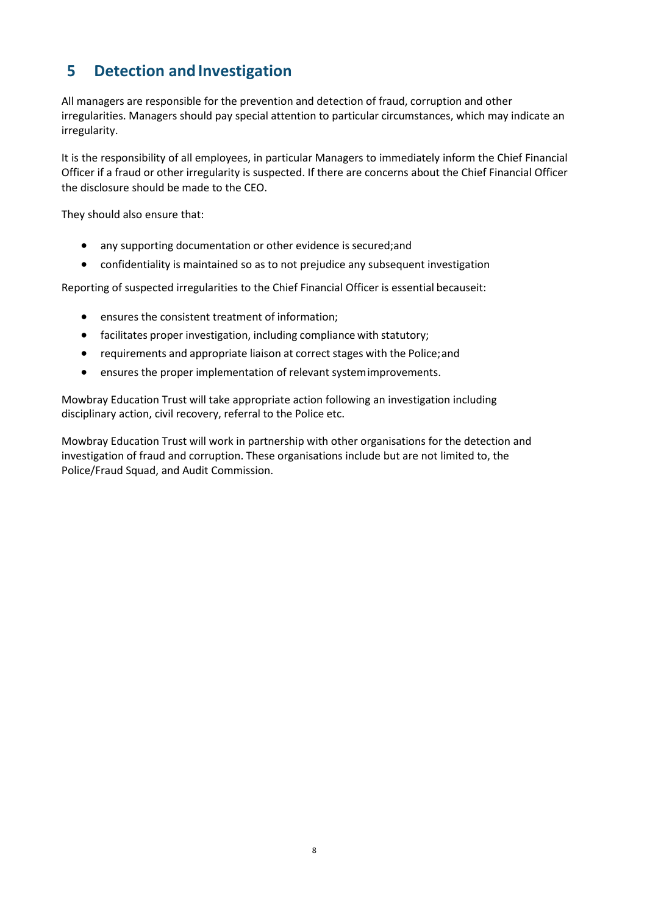## <span id="page-7-0"></span>**5 Detection and Investigation**

All managers are responsible for the prevention and detection of fraud, corruption and other irregularities. Managers should pay special attention to particular circumstances, which may indicate an irregularity.

It is the responsibility of all employees, in particular Managers to immediately inform the Chief Financial Officer if a fraud or other irregularity is suspected. If there are concerns about the Chief Financial Officer the disclosure should be made to the CEO.

They should also ensure that:

- any supporting documentation or other evidence is secured;and
- confidentiality is maintained so as to not prejudice any subsequent investigation

Reporting of suspected irregularities to the Chief Financial Officer is essential becauseit:

- ensures the consistent treatment of information;
- facilitates proper investigation, including compliance with statutory;
- requirements and appropriate liaison at correct stages with the Police;and
- ensures the proper implementation of relevant systemimprovements.

Mowbray Education Trust will take appropriate action following an investigation including disciplinary action, civil recovery, referral to the Police etc.

Mowbray Education Trust will work in partnership with other organisations for the detection and investigation of fraud and corruption. These organisations include but are not limited to, the Police/Fraud Squad, and Audit Commission.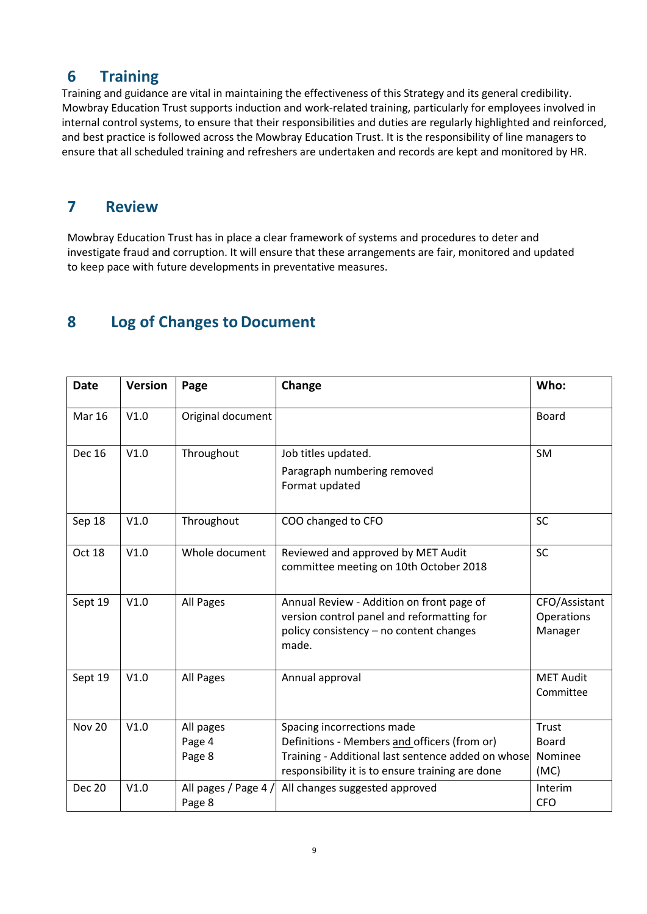#### <span id="page-8-0"></span>**6 Training**

Training and guidance are vital in maintaining the effectiveness of this Strategy and its general credibility. Mowbray Education Trust supports induction and work-related training, particularly for employees involved in internal control systems, to ensure that their responsibilities and duties are regularly highlighted and reinforced, and best practice is followed across the Mowbray Education Trust. It is the responsibility of line managers to ensure that all scheduled training and refreshers are undertaken and records are kept and monitored by HR.

#### <span id="page-8-1"></span>**7 Review**

Mowbray Education Trust has in place a clear framework of systems and procedures to deter and investigate fraud and corruption. It will ensure that these arrangements are fair, monitored and updated to keep pace with future developments in preventative measures.

#### <span id="page-8-2"></span>**8 Log of Changes to Document**

| <b>Date</b>   | <b>Version</b> | Page                           | Change                                                                                                                                                                               | Who:                                     |
|---------------|----------------|--------------------------------|--------------------------------------------------------------------------------------------------------------------------------------------------------------------------------------|------------------------------------------|
| <b>Mar 16</b> | V1.0           | Original document              |                                                                                                                                                                                      | <b>Board</b>                             |
| <b>Dec 16</b> | V1.0           | Throughout                     | Job titles updated.<br>Paragraph numbering removed<br>Format updated                                                                                                                 | <b>SM</b>                                |
| Sep 18        | V1.0           | Throughout                     | COO changed to CFO                                                                                                                                                                   | <b>SC</b>                                |
| Oct 18        | V1.0           | Whole document                 | Reviewed and approved by MET Audit<br>committee meeting on 10th October 2018                                                                                                         | <b>SC</b>                                |
| Sept 19       | V1.0           | All Pages                      | Annual Review - Addition on front page of<br>version control panel and reformatting for<br>policy consistency - no content changes<br>made.                                          | CFO/Assistant<br>Operations<br>Manager   |
| Sept 19       | V1.0           | All Pages                      | Annual approval                                                                                                                                                                      | <b>MET Audit</b><br>Committee            |
| <b>Nov 20</b> | V1.0           | All pages<br>Page 4<br>Page 8  | Spacing incorrections made<br>Definitions - Members and officers (from or)<br>Training - Additional last sentence added on whose<br>responsibility it is to ensure training are done | Trust<br><b>Board</b><br>Nominee<br>(MC) |
| <b>Dec 20</b> | V1.0           | All pages / Page 4 /<br>Page 8 | All changes suggested approved                                                                                                                                                       | Interim<br><b>CFO</b>                    |